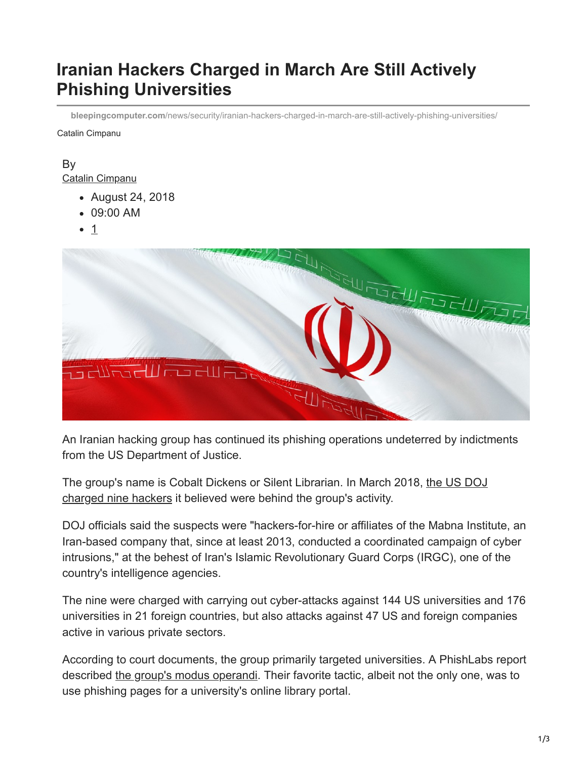# **Iranian Hackers Charged in March Are Still Actively Phishing Universities**

**bleepingcomputer.com**[/news/security/iranian-hackers-charged-in-march-are-still-actively-phishing-universities/](https://www.bleepingcomputer.com/news/security/iranian-hackers-charged-in-march-are-still-actively-phishing-universities/)

Catalin Cimpanu

#### By [Catalin Cimpanu](https://www.bleepingcomputer.com/author/catalin-cimpanu/)

- August 24, 2018
- 09:00 AM
- 1



An Iranian hacking group has continued its phishing operations undeterred by indictments from the US Department of Justice.

[The group's name is Cobalt Dickens or Silent Librarian. In March 2018, the US DOJ](https://www.bleepingcomputer.com/news/security/us-charges-nine-iranians-with-hacking-over-300-universities/) charged nine hackers it believed were behind the group's activity.

DOJ officials said the suspects were "hackers-for-hire or affiliates of the Mabna Institute, an Iran-based company that, since at least 2013, conducted a coordinated campaign of cyber intrusions," at the behest of Iran's Islamic Revolutionary Guard Corps (IRGC), one of the country's intelligence agencies.

The nine were charged with carrying out cyber-attacks against 144 US universities and 176 universities in 21 foreign countries, but also attacks against 47 US and foreign companies active in various private sectors.

According to court documents, the group primarily targeted universities. A PhishLabs report described [the group's modus operandi](https://www.bleepingcomputer.com/news/security/iranian-hackers-charged-last-week-were-actually-pretty-damn-good-phishers/). Their favorite tactic, albeit not the only one, was to use phishing pages for a university's online library portal.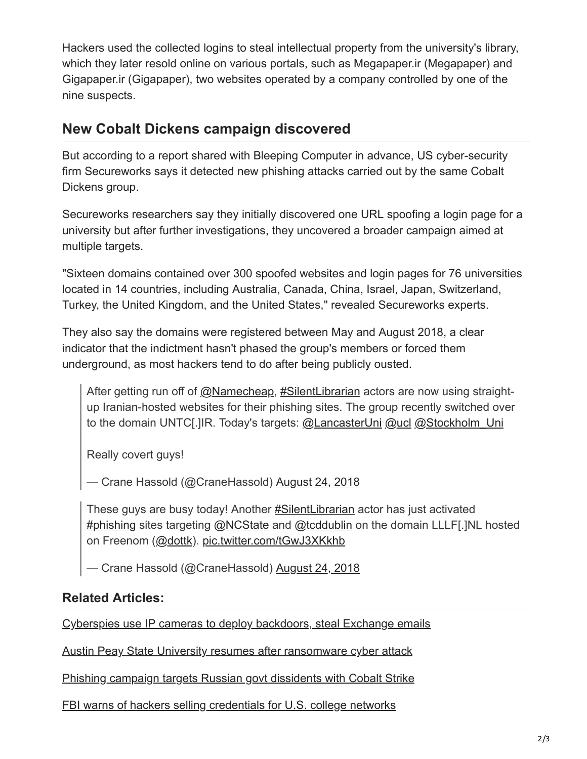Hackers used the collected logins to steal intellectual property from the university's library, which they later resold online on various portals, such as Megapaper.ir (Megapaper) and Gigapaper.ir (Gigapaper), two websites operated by a company controlled by one of the nine suspects.

# **New Cobalt Dickens campaign discovered**

But according to a report shared with Bleeping Computer in advance, US cyber-security firm Secureworks says it detected new phishing attacks carried out by the same Cobalt Dickens group.

Secureworks researchers say they initially discovered one URL spoofing a login page for a university but after further investigations, they uncovered a broader campaign aimed at multiple targets.

"Sixteen domains contained over 300 spoofed websites and login pages for 76 universities located in 14 countries, including Australia, Canada, China, Israel, Japan, Switzerland, Turkey, the United Kingdom, and the United States," revealed Secureworks experts.

They also say the domains were registered between May and August 2018, a clear indicator that the indictment hasn't phased the group's members or forced them underground, as most hackers tend to do after being publicly ousted.

After getting run off of [@Namecheap,](https://twitter.com/Namecheap?ref_src=twsrc%5Etfw) [#SilentLibrarian](https://twitter.com/hashtag/SilentLibrarian?src=hash&ref_src=twsrc%5Etfw) actors are now using straightup Iranian-hosted websites for their phishing sites. The group recently switched over to the domain UNTC[.]IR. Today's targets: [@LancasterUni](https://twitter.com/LancasterUni?ref_src=twsrc%5Etfw) [@ucl](https://twitter.com/ucl?ref_src=twsrc%5Etfw) [@Stockholm\\_Uni](https://twitter.com/Stockholm_Uni?ref_src=twsrc%5Etfw)

Really covert guys!

— Crane Hassold (@CraneHassold) [August 24, 2018](https://twitter.com/CraneHassold/status/1033000199726088193?ref_src=twsrc%5Etfw)

These guys are busy today! Another **#SilentLibrarian** actor has just activated [#phishing](https://twitter.com/hashtag/phishing?src=hash&ref_src=twsrc%5Etfw) sites targeting [@NCState](https://twitter.com/NCState?ref_src=twsrc%5Etfw) and [@tcddublin](https://twitter.com/tcddublin?ref_src=twsrc%5Etfw) on the domain LLLF[.]NL hosted on Freenom ([@dottk\)](https://twitter.com/dottk?ref_src=twsrc%5Etfw). [pic.twitter.com/tGwJ3XKkhb](https://t.co/tGwJ3XKkhb)

— Crane Hassold (@CraneHassold) [August 24, 2018](https://twitter.com/CraneHassold/status/1033060537804804098?ref_src=twsrc%5Etfw)

### **Related Articles:**

[Cyberspies use IP cameras to deploy backdoors, steal Exchange emails](https://www.bleepingcomputer.com/news/security/cyberspies-use-ip-cameras-to-deploy-backdoors-steal-exchange-emails/)

[Austin Peay State University resumes after ransomware cyber attack](https://www.bleepingcomputer.com/news/security/austin-peay-state-university-resumes-after-ransomware-cyber-attack/)

[Phishing campaign targets Russian govt dissidents with Cobalt Strike](https://www.bleepingcomputer.com/news/security/phishing-campaign-targets-russian-govt-dissidents-with-cobalt-strike/)

[FBI warns of hackers selling credentials for U.S. college networks](https://www.bleepingcomputer.com/news/security/fbi-warns-of-hackers-selling-credentials-for-us-college-networks/)